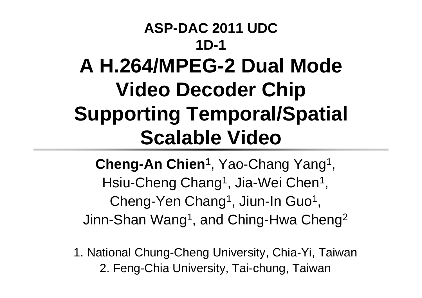#### **ASP-DAC 2011 UDC1D-1A H.264/MPEG-2 Dual Mode Video Decoder Chip Supporting Temporal/Spatial Scalable Video**

**Cheng-An Chien 1**, Yao-Chang Yang 1 , Hsiu-Cheng Chang<sup>1</sup>, Jia-Wei Chen<sup>1</sup>, Cheng-Yen Chang<sup>1</sup>, Jiun-In Guo<sup>1</sup>, Jinn-Shan Wang 1, and Ching-Hwa Cheng 2

1. National Chung-Cheng University, Chia-Yi, Taiwan 2. Feng-Chia University, Tai-chung, Taiwan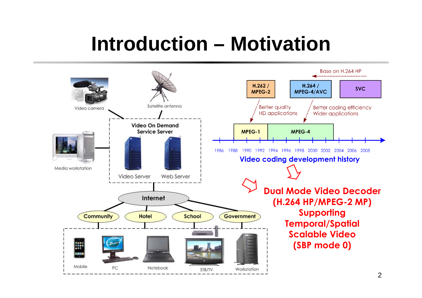#### **Introduction – Motivation**

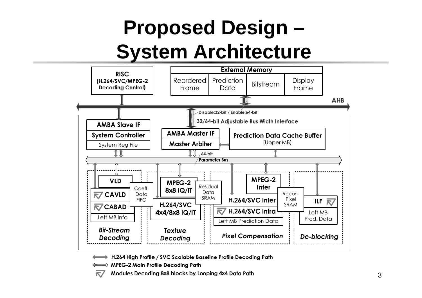## **Proposed Design – System Architecture**



H.264 High Profile / SVC Scalable Baseline Profile Decoding Path

**MPEG-2 Main Profile Decoding Path** 

R/

Modules Decoding 8x8 blocks by Looping 4x4 Data Path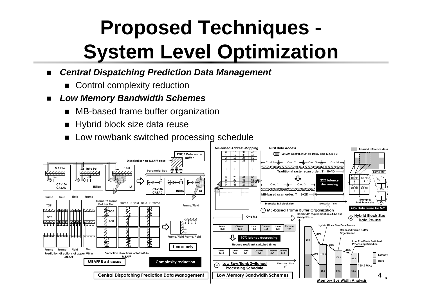## **Proposed Techniques - System Level Optimization**

- $\blacksquare$  *Central Dispatching Prediction Data Management*
	- **E** Control complexity reduction
- $\blacksquare$  *Low Memory Bandwidth Schemes*
	- ▆ MB-based frame buffer organization
	- ▆ Hybrid block size data reuse
	- ▆ Low row/bank switched processing schedule

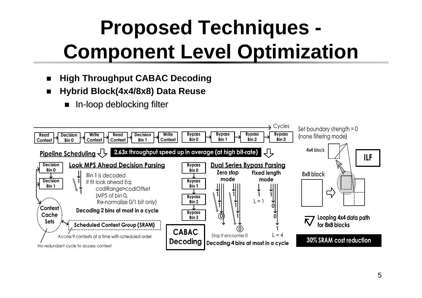# **Proposed Techniques - Component Level Optimization**

- ▆ **High Throughput CABAC Decoding**
- $\overline{\phantom{a}}$  **Hybrid Block(4x4/8x8) Data Reuse**
	- In-loop deblocking filter